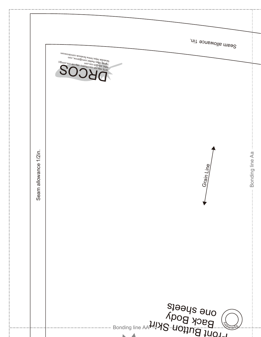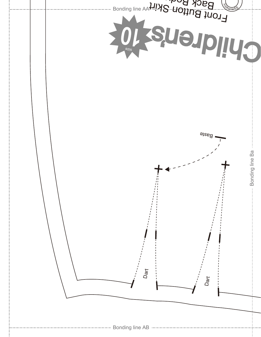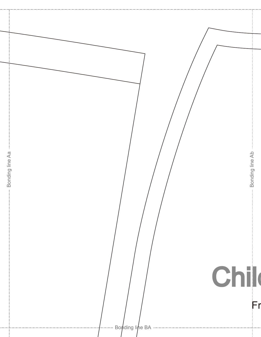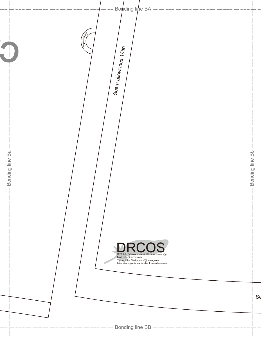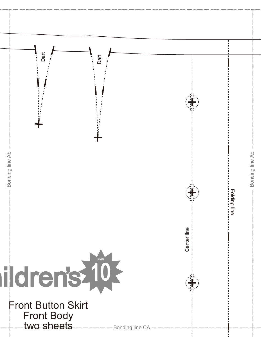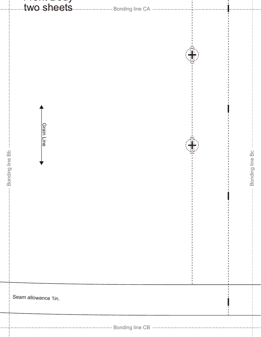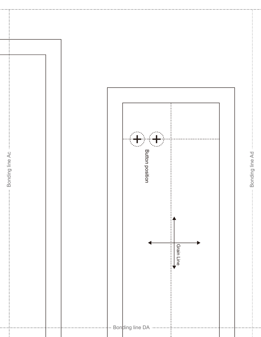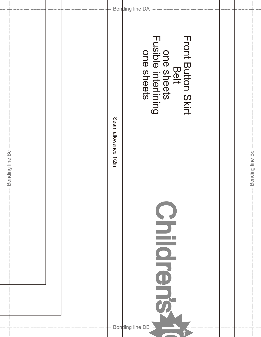|                                  | Seam allowance 1/2in. | Front Button Skirt<br>Belt<br>One sheets<br>Fusible interlining |      |                                          |
|----------------------------------|-----------------------|-----------------------------------------------------------------|------|------------------------------------------|
| Bonding line Bc<br>$\frac{1}{2}$ |                       |                                                                 |      | Bonding line Bd<br>$\mathop{\mathbb{I}}$ |
|                                  |                       | Bonding line DB -                                               | size |                                          |

 $\overline{\phantom{a}}$